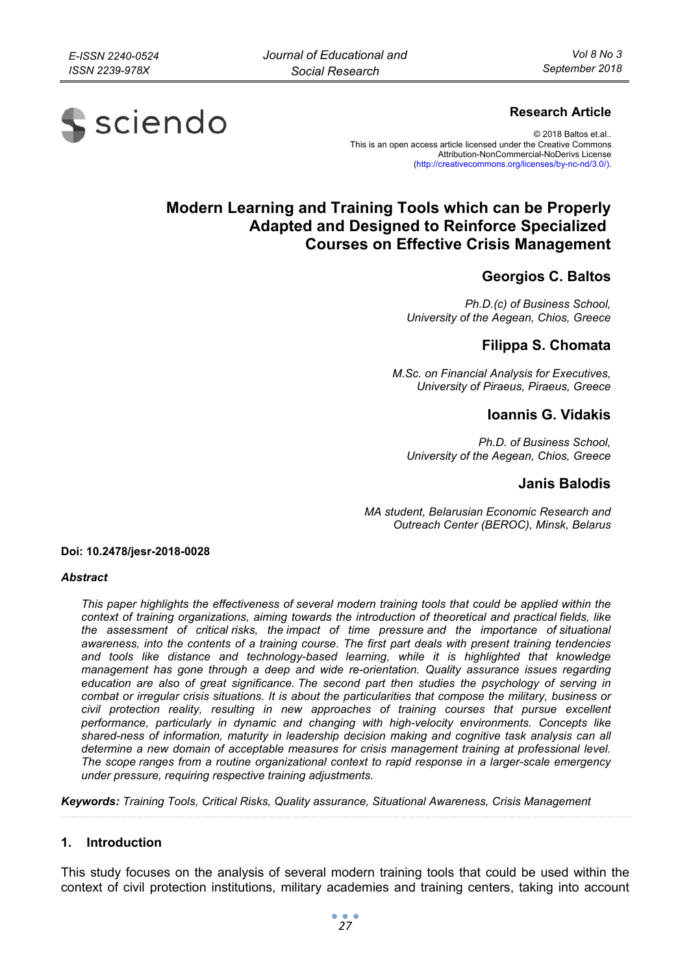

### **Research Article**

© 2018 Baltos et.al.. This is an open access article licensed under the Creative Commons Attribution-NonCommercial-NoDerivs License (http://creativecommons.org/licenses/by-nc-nd/3.0/).

# **Modern Learning and Training Tools which can be Properly Adapted and Designed to Reinforce Specialized Courses on Effective Crisis Management**

# **Georgios C. Baltos**

*Ph.D.(c) of Business School, University of the Aegean, Chios, Greece* 

# **Filippa S. Chomata**

*M.Sc. on Financial Analysis for Executives, University of Piraeus, Piraeus, Greece* 

### **Ioannis G. Vidakis**

*Ph.D. of Business School, University of the Aegean, Chios, Greece* 

### **Janis Balodis**

*MA student, Belarusian Economic Research and Outreach Center (BEROC), Minsk, Belarus* 

**Doi: 10.2478/jesr-2018-0028** 

#### *Abstract*

*This paper highlights the effectiveness of several modern training tools that could be applied within the context of training organizations, aiming towards the introduction of theoretical and practical fields, like the assessment of critical risks, the impact of time pressure and the importance of situational awareness, into the contents of a training course. The first part deals with present training tendencies*  and tools like distance and technology-based learning, while it is highlighted that knowledge *management has gone through a deep and wide re-orientation. Quality assurance issues regarding education are also of great significance. The second part then studies the psychology of serving in combat or irregular crisis situations. It is about the particularities that compose the military, business or*  civil protection reality, resulting in new approaches of training courses that pursue excellent *performance, particularly in dynamic and changing with high-velocity environments. Concepts like shared-ness of information, maturity in leadership decision making and cognitive task analysis can all determine a new domain of acceptable measures for crisis management training at professional level. The scope ranges from a routine organizational context to rapid response in a larger-scale emergency under pressure, requiring respective training adjustments.* 

*Keywords: Training Tools, Critical Risks, Quality assurance, Situational Awareness, Crisis Management* 

### **1. Introduction**

This study focuses on the analysis of several modern training tools that could be used within the context of civil protection institutions, military academies and training centers, taking into account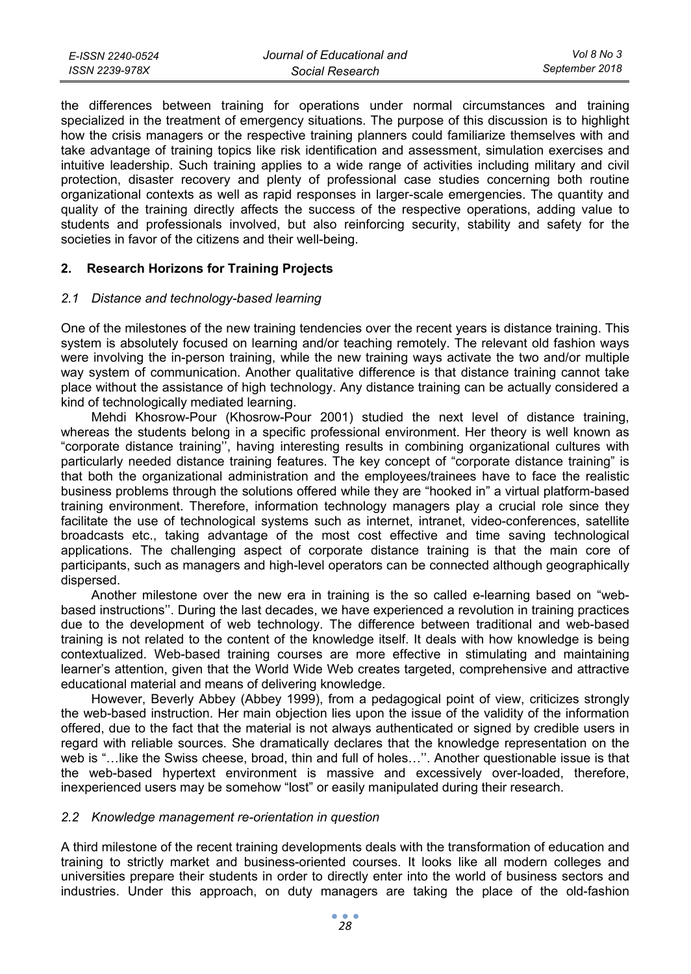| E-ISSN 2240-0524 | Journal of Educational and | Vol 8 No 3     |
|------------------|----------------------------|----------------|
| ISSN 2239-978X   | Social Research            | September 2018 |

the differences between training for operations under normal circumstances and training specialized in the treatment of emergency situations. The purpose of this discussion is to highlight how the crisis managers or the respective training planners could familiarize themselves with and take advantage of training topics like risk identification and assessment, simulation exercises and intuitive leadership. Such training applies to a wide range of activities including military and civil protection, disaster recovery and plenty of professional case studies concerning both routine organizational contexts as well as rapid responses in larger-scale emergencies. The quantity and quality of the training directly affects the success of the respective operations, adding value to students and professionals involved, but also reinforcing security, stability and safety for the societies in favor of the citizens and their well-being.

#### **2. Research Horizons for Training Projects**

#### *2.1 Distance and technology-based learning*

One of the milestones of the new training tendencies over the recent years is distance training. This system is absolutely focused on learning and/or teaching remotely. The relevant old fashion ways were involving the in-person training, while the new training ways activate the two and/or multiple way system of communication. Another qualitative difference is that distance training cannot take place without the assistance of high technology. Any distance training can be actually considered a kind of technologically mediated learning.

Mehdi Khosrow-Pour (Khosrow-Pour 2001) studied the next level of distance training, whereas the students belong in a specific professional environment. Her theory is well known as "corporate distance training'', having interesting results in combining organizational cultures with particularly needed distance training features. The key concept of "corporate distance training" is that both the organizational administration and the employees/trainees have to face the realistic business problems through the solutions offered while they are "hooked in" a virtual platform-based training environment. Therefore, information technology managers play a crucial role since they facilitate the use of technological systems such as internet, intranet, video-conferences, satellite broadcasts etc., taking advantage of the most cost effective and time saving technological applications. The challenging aspect of corporate distance training is that the main core of participants, such as managers and high-level operators can be connected although geographically dispersed.

Another milestone over the new era in training is the so called e-learning based on "webbased instructions''. During the last decades, we have experienced a revolution in training practices due to the development of web technology. The difference between traditional and web-based training is not related to the content of the knowledge itself. It deals with how knowledge is being contextualized. Web-based training courses are more effective in stimulating and maintaining learner's attention, given that the World Wide Web creates targeted, comprehensive and attractive educational material and means of delivering knowledge.

However, Beverly Abbey (Abbey 1999), from a pedagogical point of view, criticizes strongly the web-based instruction. Her main objection lies upon the issue of the validity of the information offered, due to the fact that the material is not always authenticated or signed by credible users in regard with reliable sources. She dramatically declares that the knowledge representation on the web is "…like the Swiss cheese, broad, thin and full of holes…''. Another questionable issue is that the web-based hypertext environment is massive and excessively over-loaded, therefore, inexperienced users may be somehow "lost" or easily manipulated during their research.

#### *2.2 Knowledge management re-orientation in question*

A third milestone of the recent training developments deals with the transformation of education and training to strictly market and business-oriented courses. It looks like all modern colleges and universities prepare their students in order to directly enter into the world of business sectors and industries. Under this approach, on duty managers are taking the place of the old-fashion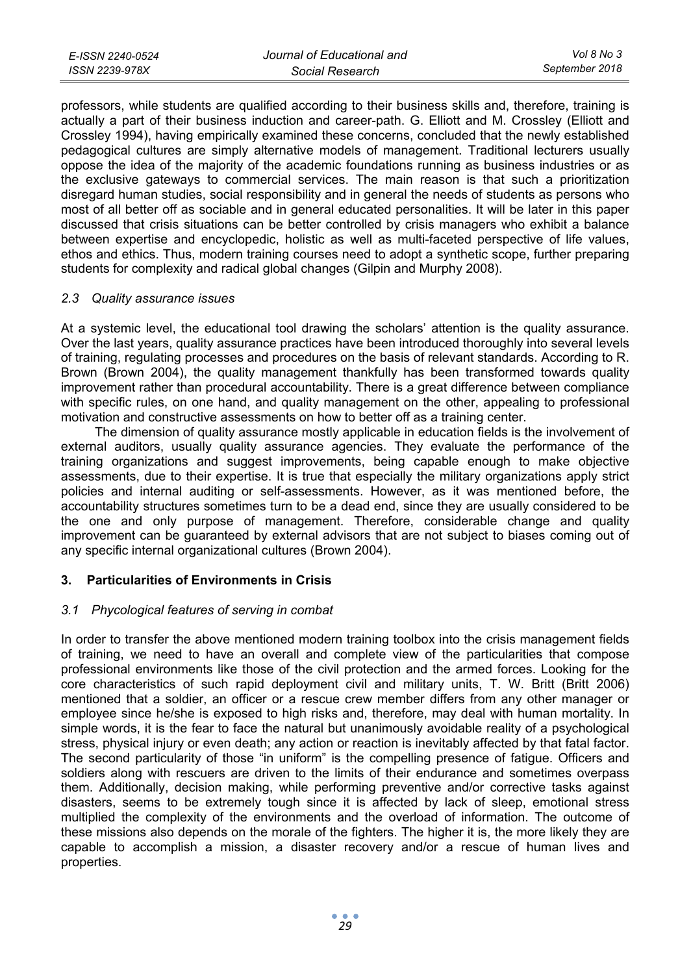professors, while students are qualified according to their business skills and, therefore, training is actually a part of their business induction and career-path. G. Elliott and M. Crossley (Elliott and Crossley 1994), having empirically examined these concerns, concluded that the newly established pedagogical cultures are simply alternative models of management. Traditional lecturers usually oppose the idea of the majority of the academic foundations running as business industries or as the exclusive gateways to commercial services. The main reason is that such a prioritization disregard human studies, social responsibility and in general the needs of students as persons who most of all better off as sociable and in general educated personalities. It will be later in this paper discussed that crisis situations can be better controlled by crisis managers who exhibit a balance between expertise and encyclopedic, holistic as well as multi-faceted perspective of life values, ethos and ethics. Thus, modern training courses need to adopt a synthetic scope, further preparing students for complexity and radical global changes (Gilpin and Murphy 2008).

### *2.3 Quality assurance issues*

At a systemic level, the educational tool drawing the scholars' attention is the quality assurance. Over the last years, quality assurance practices have been introduced thoroughly into several levels of training, regulating processes and procedures on the basis of relevant standards. According to R. Brown (Brown 2004), the quality management thankfully has been transformed towards quality improvement rather than procedural accountability. There is a great difference between compliance with specific rules, on one hand, and quality management on the other, appealing to professional motivation and constructive assessments on how to better off as a training center.

 The dimension of quality assurance mostly applicable in education fields is the involvement of external auditors, usually quality assurance agencies. They evaluate the performance of the training organizations and suggest improvements, being capable enough to make objective assessments, due to their expertise. It is true that especially the military organizations apply strict policies and internal auditing or self-assessments. However, as it was mentioned before, the accountability structures sometimes turn to be a dead end, since they are usually considered to be the one and only purpose of management. Therefore, considerable change and quality improvement can be guaranteed by external advisors that are not subject to biases coming out of any specific internal organizational cultures (Brown 2004).

# **3. Particularities of Environments in Crisis**

### *3.1 Phycological features of serving in combat*

In order to transfer the above mentioned modern training toolbox into the crisis management fields of training, we need to have an overall and complete view of the particularities that compose professional environments like those of the civil protection and the armed forces. Looking for the core characteristics of such rapid deployment civil and military units, T. W. Britt (Britt 2006) mentioned that a soldier, an officer or a rescue crew member differs from any other manager or employee since he/she is exposed to high risks and, therefore, may deal with human mortality. In simple words, it is the fear to face the natural but unanimously avoidable reality of a psychological stress, physical injury or even death; any action or reaction is inevitably affected by that fatal factor. The second particularity of those "in uniform" is the compelling presence of fatigue. Officers and soldiers along with rescuers are driven to the limits of their endurance and sometimes overpass them. Additionally, decision making, while performing preventive and/or corrective tasks against disasters, seems to be extremely tough since it is affected by lack of sleep, emotional stress multiplied the complexity of the environments and the overload of information. The outcome of these missions also depends on the morale of the fighters. The higher it is, the more likely they are capable to accomplish a mission, a disaster recovery and/or a rescue of human lives and properties.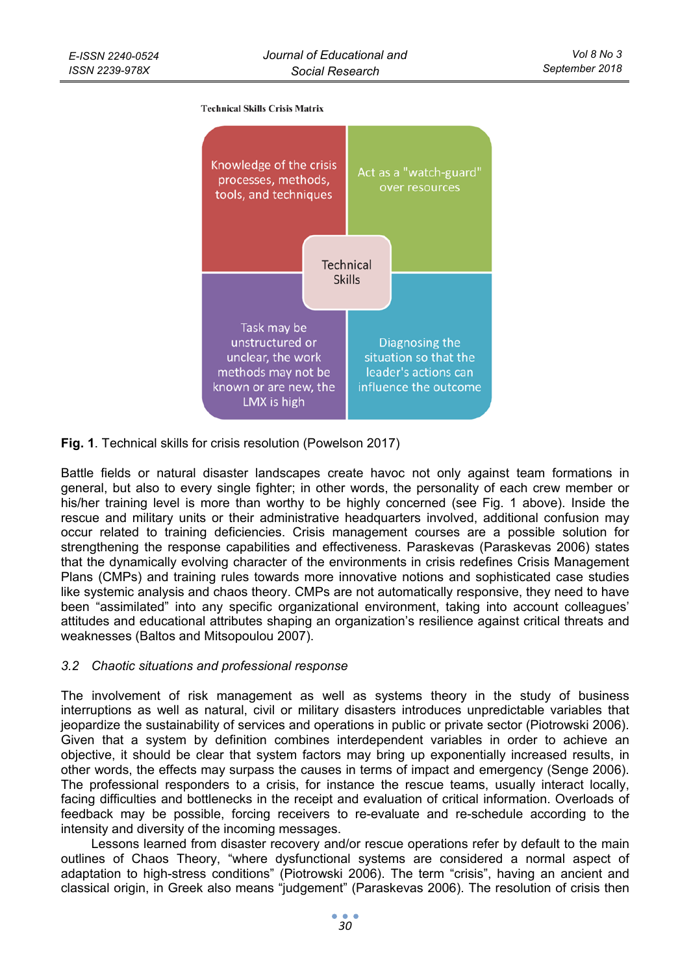#### **Technical Skills Crisis Matrix**



**Fig. 1**. Technical skills for crisis resolution (Powelson 2017)

Battle fields or natural disaster landscapes create havoc not only against team formations in general, but also to every single fighter; in other words, the personality of each crew member or his/her training level is more than worthy to be highly concerned (see Fig. 1 above). Inside the rescue and military units or their administrative headquarters involved, additional confusion may occur related to training deficiencies. Crisis management courses are a possible solution for strengthening the response capabilities and effectiveness. Paraskevas (Paraskevas 2006) states that the dynamically evolving character of the environments in crisis redefines Crisis Management Plans (CMPs) and training rules towards more innovative notions and sophisticated case studies like systemic analysis and chaos theory. CMPs are not automatically responsive, they need to have been "assimilated" into any specific organizational environment, taking into account colleagues' attitudes and educational attributes shaping an organization's resilience against critical threats and weaknesses (Baltos and Mitsopoulou 2007).

### *3.2 Chaotic situations and professional response*

The involvement of risk management as well as systems theory in the study of business interruptions as well as natural, civil or military disasters introduces unpredictable variables that jeopardize the sustainability of services and operations in public or private sector (Piotrowski 2006). Given that a system by definition combines interdependent variables in order to achieve an objective, it should be clear that system factors may bring up exponentially increased results, in other words, the effects may surpass the causes in terms of impact and emergency (Senge 2006). The professional responders to a crisis, for instance the rescue teams, usually interact locally, facing difficulties and bottlenecks in the receipt and evaluation of critical information. Overloads of feedback may be possible, forcing receivers to re-evaluate and re-schedule according to the intensity and diversity of the incoming messages.

Lessons learned from disaster recovery and/or rescue operations refer by default to the main outlines of Chaos Theory, "where dysfunctional systems are considered a normal aspect of adaptation to high-stress conditions" (Piotrowski 2006). The term "crisis", having an ancient and classical origin, in Greek also means "judgement" (Paraskevas 2006). The resolution of crisis then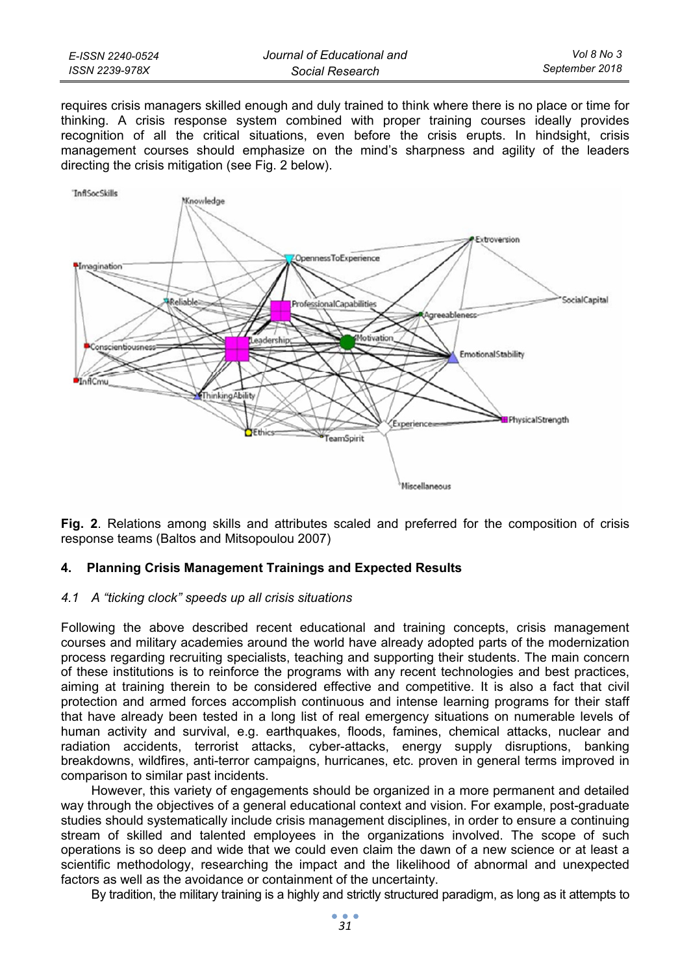| E-ISSN 2240-0524 | Journal of Educational and | Vol 8 No 3     |
|------------------|----------------------------|----------------|
| ISSN 2239-978X   | Social Research            | September 2018 |

requires crisis managers skilled enough and duly trained to think where there is no place or time for thinking. A crisis response system combined with proper training courses ideally provides recognition of all the critical situations, even before the crisis erupts. In hindsight, crisis management courses should emphasize on the mind's sharpness and agility of the leaders directing the crisis mitigation (see Fig. 2 below).



**Fig. 2**. Relations among skills and attributes scaled and preferred for the composition of crisis response teams (Baltos and Mitsopoulou 2007)

#### **4. Planning Crisis Management Trainings and Expected Results**

#### *4.1 A "ticking clock" speeds up all crisis situations*

Following the above described recent educational and training concepts, crisis management courses and military academies around the world have already adopted parts of the modernization process regarding recruiting specialists, teaching and supporting their students. The main concern of these institutions is to reinforce the programs with any recent technologies and best practices, aiming at training therein to be considered effective and competitive. It is also a fact that civil protection and armed forces accomplish continuous and intense learning programs for their staff that have already been tested in a long list of real emergency situations on numerable levels of human activity and survival, e.g. earthquakes, floods, famines, chemical attacks, nuclear and radiation accidents, terrorist attacks, cyber-attacks, energy supply disruptions, banking breakdowns, wildfires, anti-terror campaigns, hurricanes, etc. proven in general terms improved in comparison to similar past incidents.

However, this variety of engagements should be organized in a more permanent and detailed way through the objectives of a general educational context and vision. For example, post-graduate studies should systematically include crisis management disciplines, in order to ensure a continuing stream of skilled and talented employees in the organizations involved. The scope of such operations is so deep and wide that we could even claim the dawn of a new science or at least a scientific methodology, researching the impact and the likelihood of abnormal and unexpected factors as well as the avoidance or containment of the uncertainty.

By tradition, the military training is a highly and strictly structured paradigm, as long as it attempts to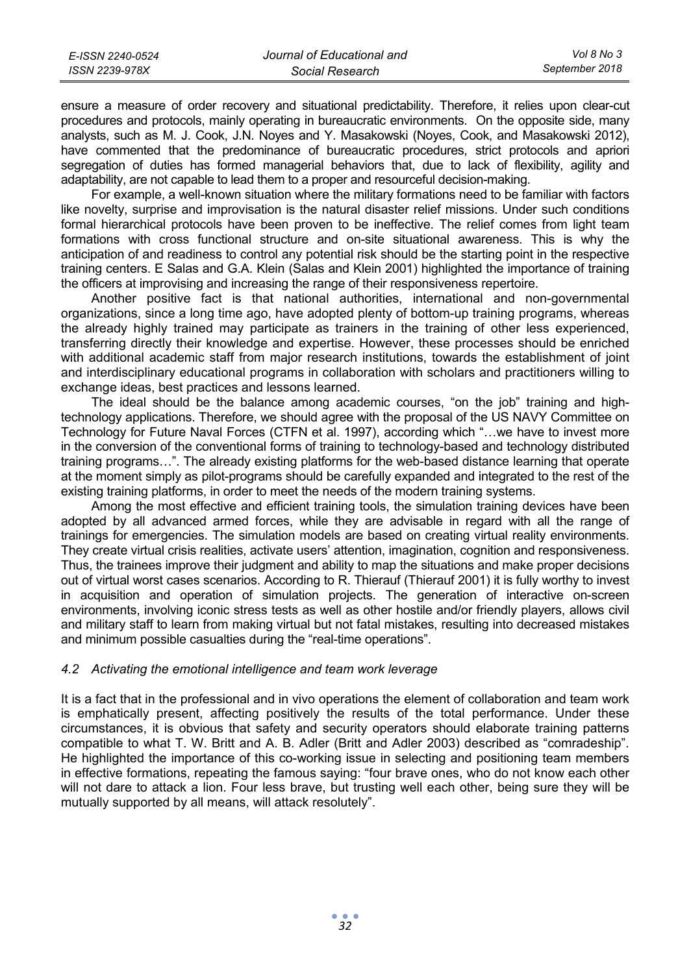| E-ISSN 2240-0524 | Journal of Educational and | Vol 8 No 3     |
|------------------|----------------------------|----------------|
| ISSN 2239-978X   | Social Research            | September 2018 |

ensure a measure of order recovery and situational predictability. Therefore, it relies upon clear-cut procedures and protocols, mainly operating in bureaucratic environments. On the opposite side, many analysts, such as M. J. Cook, J.N. Noyes and Y. Masakowski (Noyes, Cook, and Masakowski 2012), have commented that the predominance of bureaucratic procedures, strict protocols and apriori segregation of duties has formed managerial behaviors that, due to lack of flexibility, agility and adaptability, are not capable to lead them to a proper and resourceful decision-making.

For example, a well-known situation where the military formations need to be familiar with factors like novelty, surprise and improvisation is the natural disaster relief missions. Under such conditions formal hierarchical protocols have been proven to be ineffective. The relief comes from light team formations with cross functional structure and on-site situational awareness. This is why the anticipation of and readiness to control any potential risk should be the starting point in the respective training centers. E Salas and G.A. Klein (Salas and Klein 2001) highlighted the importance of training the officers at improvising and increasing the range of their responsiveness repertoire.

Another positive fact is that national authorities, international and non-governmental organizations, since a long time ago, have adopted plenty of bottom-up training programs, whereas the already highly trained may participate as trainers in the training of other less experienced, transferring directly their knowledge and expertise. However, these processes should be enriched with additional academic staff from major research institutions, towards the establishment of joint and interdisciplinary educational programs in collaboration with scholars and practitioners willing to exchange ideas, best practices and lessons learned.

The ideal should be the balance among academic courses, "on the job" training and hightechnology applications. Therefore, we should agree with the proposal of the US NAVY Committee on Technology for Future Naval Forces (CTFN et al. 1997), according which "…we have to invest more in the conversion of the conventional forms of training to technology-based and technology distributed training programs…". The already existing platforms for the web-based distance learning that operate at the moment simply as pilot-programs should be carefully expanded and integrated to the rest of the existing training platforms, in order to meet the needs of the modern training systems.

Among the most effective and efficient training tools, the simulation training devices have been adopted by all advanced armed forces, while they are advisable in regard with all the range of trainings for emergencies. The simulation models are based on creating virtual reality environments. They create virtual crisis realities, activate users' attention, imagination, cognition and responsiveness. Thus, the trainees improve their judgment and ability to map the situations and make proper decisions out of virtual worst cases scenarios. According to R. Thierauf (Thierauf 2001) it is fully worthy to invest in acquisition and operation of simulation projects. The generation of interactive on-screen environments, involving iconic stress tests as well as other hostile and/or friendly players, allows civil and military staff to learn from making virtual but not fatal mistakes, resulting into decreased mistakes and minimum possible casualties during the "real-time operations".

#### *4.2 Activating the emotional intelligence and team work leverage*

It is a fact that in the professional and in vivo operations the element of collaboration and team work is emphatically present, affecting positively the results of the total performance. Under these circumstances, it is obvious that safety and security operators should elaborate training patterns compatible to what T. W. Britt and A. B. Adler (Britt and Adler 2003) described as "comradeship". He highlighted the importance of this co-working issue in selecting and positioning team members in effective formations, repeating the famous saying: "four brave ones, who do not know each other will not dare to attack a lion. Four less brave, but trusting well each other, being sure they will be mutually supported by all means, will attack resolutely".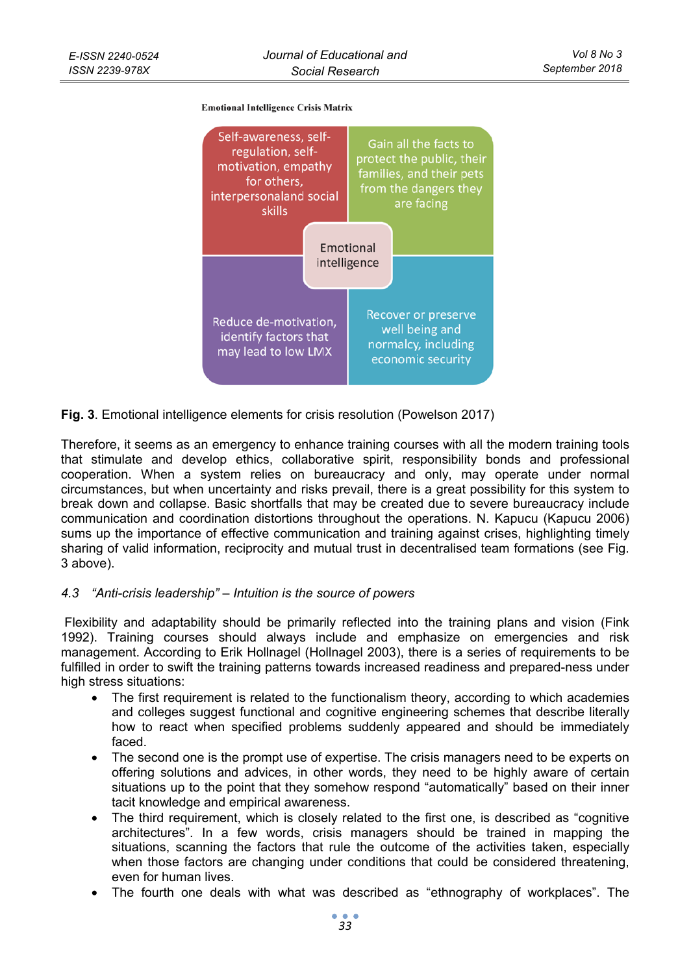#### **Emotional Intelligence Crisis Matrix**



**Fig. 3**. Emotional intelligence elements for crisis resolution (Powelson 2017)

Therefore, it seems as an emergency to enhance training courses with all the modern training tools that stimulate and develop ethics, collaborative spirit, responsibility bonds and professional cooperation. When a system relies on bureaucracy and only, may operate under normal circumstances, but when uncertainty and risks prevail, there is a great possibility for this system to break down and collapse. Basic shortfalls that may be created due to severe bureaucracy include communication and coordination distortions throughout the operations. N. Kapucu (Kapucu 2006) sums up the importance of effective communication and training against crises, highlighting timely sharing of valid information, reciprocity and mutual trust in decentralised team formations (see Fig. 3 above).

### *4.3 "Anti-crisis leadership" – Intuition is the source of powers*

 Flexibility and adaptability should be primarily reflected into the training plans and vision (Fink 1992). Training courses should always include and emphasize on emergencies and risk management. According to Erik Hollnagel (Hollnagel 2003), there is a series of requirements to be fulfilled in order to swift the training patterns towards increased readiness and prepared-ness under high stress situations:

- The first requirement is related to the functionalism theory, according to which academies and colleges suggest functional and cognitive engineering schemes that describe literally how to react when specified problems suddenly appeared and should be immediately faced.
- The second one is the prompt use of expertise. The crisis managers need to be experts on offering solutions and advices, in other words, they need to be highly aware of certain situations up to the point that they somehow respond "automatically" based on their inner tacit knowledge and empirical awareness.
- The third requirement, which is closely related to the first one, is described as "cognitive architectures". In a few words, crisis managers should be trained in mapping the situations, scanning the factors that rule the outcome of the activities taken, especially when those factors are changing under conditions that could be considered threatening, even for human lives.
- The fourth one deals with what was described as "ethnography of workplaces". The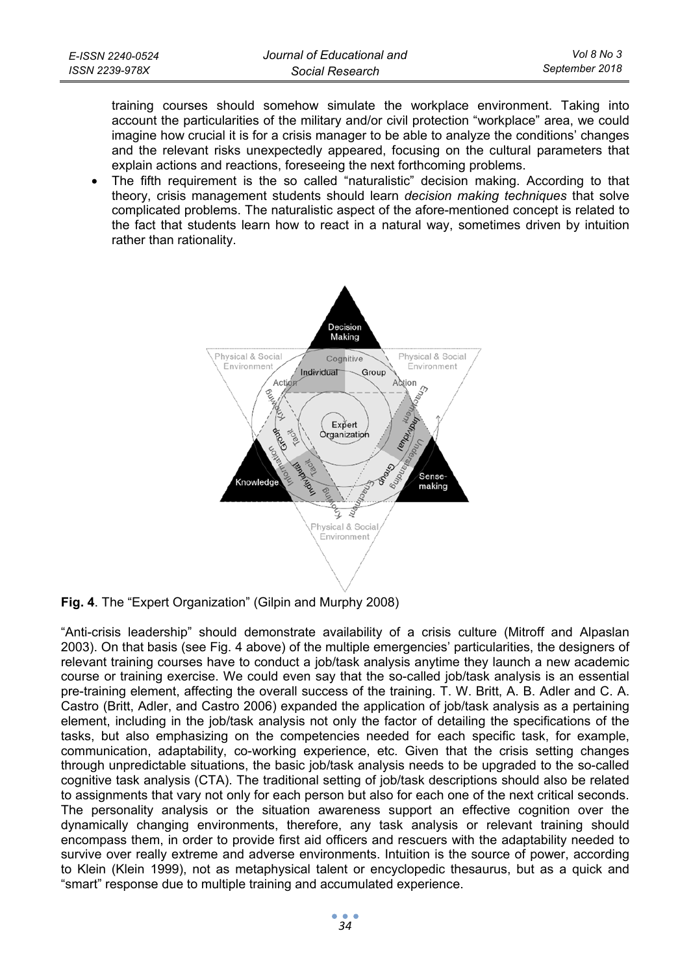training courses should somehow simulate the workplace environment. Taking into account the particularities of the military and/or civil protection "workplace" area, we could imagine how crucial it is for a crisis manager to be able to analyze the conditions' changes and the relevant risks unexpectedly appeared, focusing on the cultural parameters that explain actions and reactions, foreseeing the next forthcoming problems.

• The fifth requirement is the so called "naturalistic" decision making. According to that theory, crisis management students should learn *decision making techniques* that solve complicated problems. The naturalistic aspect of the afore-mentioned concept is related to the fact that students learn how to react in a natural way, sometimes driven by intuition rather than rationality.



# **Fig. 4**. The "Expert Organization" (Gilpin and Murphy 2008)

"Anti-crisis leadership" should demonstrate availability of a crisis culture (Mitroff and Alpaslan 2003). On that basis (see Fig. 4 above) of the multiple emergencies' particularities, the designers of relevant training courses have to conduct a job/task analysis anytime they launch a new academic course or training exercise. We could even say that the so-called job/task analysis is an essential pre-training element, affecting the overall success of the training. T. W. Britt, A. B. Adler and C. A. Castro (Britt, Adler, and Castro 2006) expanded the application of job/task analysis as a pertaining element, including in the job/task analysis not only the factor of detailing the specifications of the tasks, but also emphasizing on the competencies needed for each specific task, for example, communication, adaptability, co-working experience, etc. Given that the crisis setting changes through unpredictable situations, the basic job/task analysis needs to be upgraded to the so-called cognitive task analysis (CTA). The traditional setting of job/task descriptions should also be related to assignments that vary not only for each person but also for each one of the next critical seconds. The personality analysis or the situation awareness support an effective cognition over the dynamically changing environments, therefore, any task analysis or relevant training should encompass them, in order to provide first aid officers and rescuers with the adaptability needed to survive over really extreme and adverse environments. Intuition is the source of power, according to Klein (Klein 1999), not as metaphysical talent or encyclopedic thesaurus, but as a quick and "smart" response due to multiple training and accumulated experience.